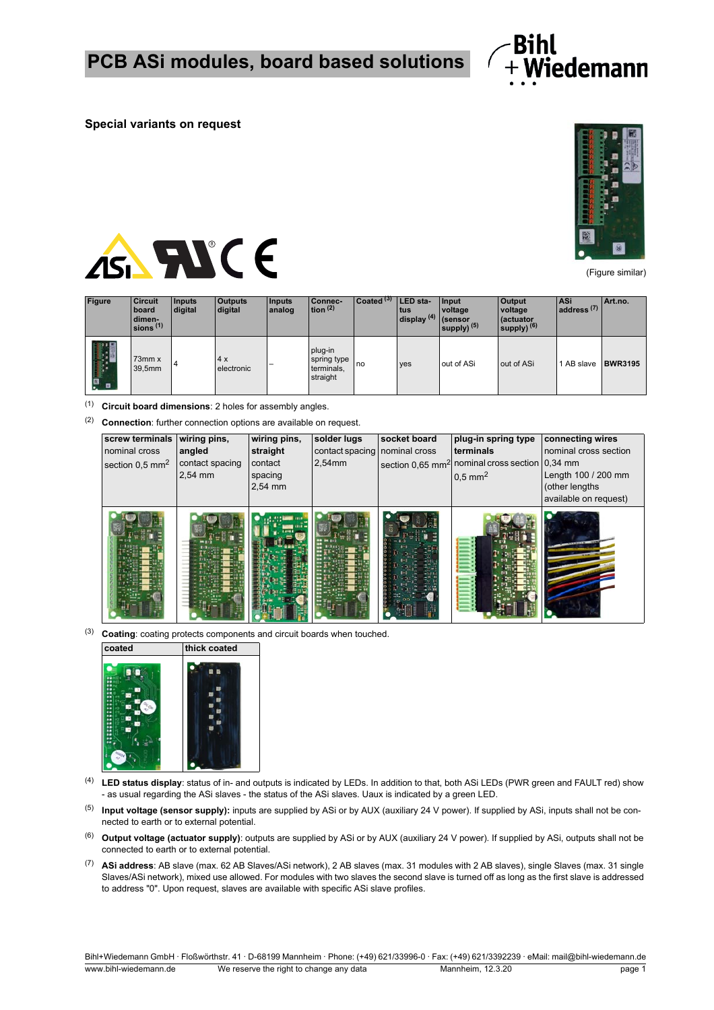

## **Special variants on request**



(Figure similar)



| <b>Figure</b> | <b>Circuit</b><br>board<br>dimen-<br>sions $(1)$ | Inputs<br>digital | <b>Outputs</b><br>digital | Inputs<br>analog         | Connec-<br>tion $(2)$                            | Coated <sup>(3)</sup> | LED sta-<br>ltus<br>display $(4)$ (sensor | Input<br>voltage<br>supply) $(5)$ | <b>Output</b><br>voltage<br>diactuator<br>supply) $(6)$ | <b>ASi</b><br>$1$ address $(7)$ | Art.no.        |
|---------------|--------------------------------------------------|-------------------|---------------------------|--------------------------|--------------------------------------------------|-----------------------|-------------------------------------------|-----------------------------------|---------------------------------------------------------|---------------------------------|----------------|
| . ¤           | $73$ mm $x$<br>39,5mm                            |                   | 4x<br>electronic          | $\overline{\phantom{0}}$ | plug-in<br>spring type<br>terminals,<br>straight | <b>I</b> no           | yes                                       | out of ASi                        | out of ASi                                              | 1 AB slave                      | <b>BWR3195</b> |

(1) **Circuit board dimensions**: 2 holes for assembly angles.

(2) **Connection**: further connection options are available on request.

| screw terminals<br>nominal cross<br>section $0.5$ mm <sup>2</sup> | wiring pins,<br>angled<br>contact spacing<br>2,54 mm | wiring pins,<br>straight<br>contact<br>spacing<br>2,54 mm | solder lugs<br>contact spacing nominal cross<br>2,54mm | socket board | plug-in spring type<br>terminals<br>section 0,65 mm <sup>2</sup> nominal cross section 0,34 mm<br>$0.5$ mm <sup>2</sup> | connecting wires<br>nominal cross section<br>Length 100 / 200 mm<br>(other lengths)<br>available on request) |
|-------------------------------------------------------------------|------------------------------------------------------|-----------------------------------------------------------|--------------------------------------------------------|--------------|-------------------------------------------------------------------------------------------------------------------------|--------------------------------------------------------------------------------------------------------------|
|                                                                   |                                                      |                                                           |                                                        |              |                                                                                                                         |                                                                                                              |

(3) **Coating**: coating protects components and circuit boards when touched.



- (4) **LED status display**: status of in- and outputs is indicated by LEDs. In addition to that, both ASi LEDs (PWR green and FAULT red) show - as usual regarding the ASi slaves - the status of the ASi slaves. Uaux is indicated by a green LED.
- (5) **Input voltage (sensor supply):** inputs are supplied by ASi or by AUX (auxiliary 24 V power). If supplied by ASi, inputs shall not be connected to earth or to external potential.
- (6) **Output voltage (actuator supply)**: outputs are supplied by ASi or by AUX (auxiliary 24 V power). If supplied by ASi, outputs shall not be connected to earth or to external potential.
- (7) **ASi address**: AB slave (max. 62 AB Slaves/ASi network), 2 AB slaves (max. 31 modules with 2 AB slaves), single Slaves (max. 31 single Slaves/ASi network), mixed use allowed. For modules with two slaves the second slave is turned off as long as the first slave is addressed to address "0". Upon request, slaves are available with specific ASi slave profiles.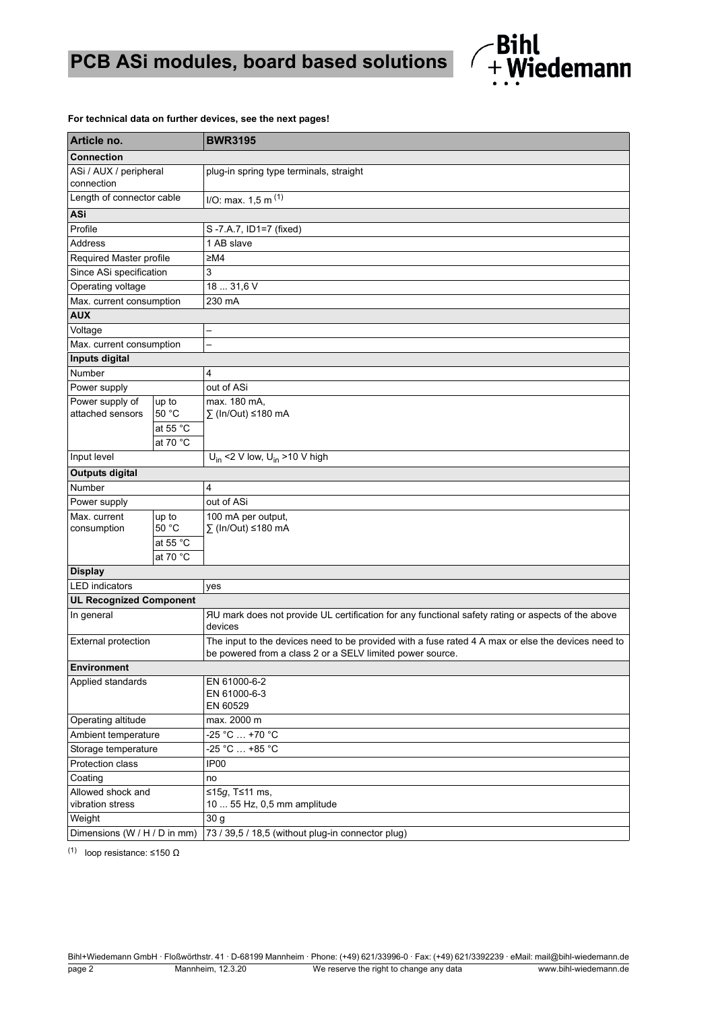

## **For technical data on further devices, see the next pages!**

| Article no.                          |          | <b>BWR3195</b>                                                                                                                                                  |  |  |  |  |  |
|--------------------------------------|----------|-----------------------------------------------------------------------------------------------------------------------------------------------------------------|--|--|--|--|--|
| <b>Connection</b>                    |          |                                                                                                                                                                 |  |  |  |  |  |
| ASi / AUX / peripheral<br>connection |          | plug-in spring type terminals, straight                                                                                                                         |  |  |  |  |  |
| Length of connector cable            |          | I/O: max. 1, 5 m <sup>(1)</sup>                                                                                                                                 |  |  |  |  |  |
| ASi                                  |          |                                                                                                                                                                 |  |  |  |  |  |
| Profile                              |          | S-7.A.7, ID1=7 (fixed)                                                                                                                                          |  |  |  |  |  |
| <b>Address</b>                       |          | 1 AB slave                                                                                                                                                      |  |  |  |  |  |
| Required Master profile              |          | ≥M4                                                                                                                                                             |  |  |  |  |  |
| Since ASi specification              |          | 3                                                                                                                                                               |  |  |  |  |  |
| Operating voltage                    |          | 18  31,6 V                                                                                                                                                      |  |  |  |  |  |
| Max. current consumption             |          | 230 mA                                                                                                                                                          |  |  |  |  |  |
| <b>AUX</b>                           |          |                                                                                                                                                                 |  |  |  |  |  |
| Voltage                              |          |                                                                                                                                                                 |  |  |  |  |  |
| Max. current consumption             |          |                                                                                                                                                                 |  |  |  |  |  |
| Inputs digital                       |          |                                                                                                                                                                 |  |  |  |  |  |
| Number                               |          | 4                                                                                                                                                               |  |  |  |  |  |
| Power supply                         |          | out of ASi                                                                                                                                                      |  |  |  |  |  |
| Power supply of                      | up to    | max. 180 mA,                                                                                                                                                    |  |  |  |  |  |
| attached sensors                     | 50 °C    | ∑ (In/Out) ≤180 mA                                                                                                                                              |  |  |  |  |  |
|                                      | at 55 °C |                                                                                                                                                                 |  |  |  |  |  |
|                                      | at 70 °C |                                                                                                                                                                 |  |  |  |  |  |
| Input level                          |          | $U_{in}$ <2 V low, $U_{in}$ >10 V high                                                                                                                          |  |  |  |  |  |
| <b>Outputs digital</b>               |          |                                                                                                                                                                 |  |  |  |  |  |
| Number                               |          | 4                                                                                                                                                               |  |  |  |  |  |
| Power supply                         |          | out of ASi                                                                                                                                                      |  |  |  |  |  |
| Max. current                         | up to    | 100 mA per output,                                                                                                                                              |  |  |  |  |  |
| consumption                          | 50 °C    | ∑ (In/Out) ≤180 mA                                                                                                                                              |  |  |  |  |  |
|                                      | at 55 °C |                                                                                                                                                                 |  |  |  |  |  |
|                                      | at 70 °C |                                                                                                                                                                 |  |  |  |  |  |
| <b>Display</b>                       |          |                                                                                                                                                                 |  |  |  |  |  |
| <b>LED</b> indicators                |          | yes                                                                                                                                                             |  |  |  |  |  |
| <b>UL Recognized Component</b>       |          |                                                                                                                                                                 |  |  |  |  |  |
| In general                           |          | AU mark does not provide UL certification for any functional safety rating or aspects of the above<br>devices                                                   |  |  |  |  |  |
| <b>External protection</b>           |          | The input to the devices need to be provided with a fuse rated 4 A max or else the devices need to<br>be powered from a class 2 or a SELV limited power source. |  |  |  |  |  |
| Environment                          |          |                                                                                                                                                                 |  |  |  |  |  |
| Applied standards                    |          | EN 61000-6-2                                                                                                                                                    |  |  |  |  |  |
|                                      |          | EN 61000-6-3                                                                                                                                                    |  |  |  |  |  |
|                                      |          | EN 60529                                                                                                                                                        |  |  |  |  |  |
| Operating altitude                   |          | max. 2000 m                                                                                                                                                     |  |  |  |  |  |
| Ambient temperature                  |          | -25 °C  +70 °C                                                                                                                                                  |  |  |  |  |  |
| Storage temperature                  |          | -25 °C  +85 °C                                                                                                                                                  |  |  |  |  |  |
| Protection class                     |          | IP <sub>00</sub>                                                                                                                                                |  |  |  |  |  |
| Coating                              |          | no                                                                                                                                                              |  |  |  |  |  |
| Allowed shock and                    |          | ≤15g, T≤11 ms,                                                                                                                                                  |  |  |  |  |  |
| vibration stress<br>Weight           |          | 10  55 Hz, 0,5 mm amplitude                                                                                                                                     |  |  |  |  |  |
|                                      |          | 30 g                                                                                                                                                            |  |  |  |  |  |
| Dimensions (W / H / D in mm)         |          | 73 / 39,5 / 18,5 (without plug-in connector plug)                                                                                                               |  |  |  |  |  |

(1) loop resistance:  $\leq$ 150  $\Omega$ 

Bihl+Wiedemann GmbH · Floßwörthstr. 41 · D-68199 Mannheim · Phone: (+49) 621/33996-0 · Fax: (+49) 621/3392239 · eMail: mail@bihl-wiedemann.de page 2 Mannheim, 12.3.20 We reserve the right to change any data www.bihl-wiedemann.de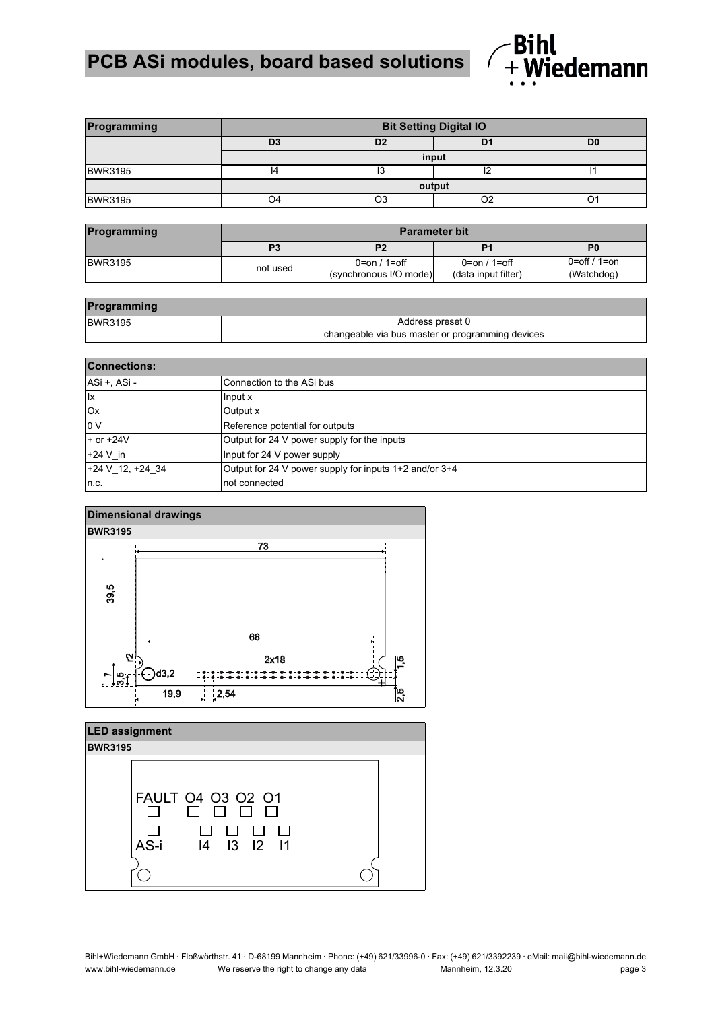## **PCB ASi modules, board based solutions**



| Programming    | <b>Bit Setting Digital IO</b> |                                  |  |                |  |  |  |
|----------------|-------------------------------|----------------------------------|--|----------------|--|--|--|
|                | D <sub>3</sub>                | D <sub>2</sub><br>D <sub>1</sub> |  | D <sub>0</sub> |  |  |  |
|                | input                         |                                  |  |                |  |  |  |
| <b>BWR3195</b> |                               | IJ                               |  |                |  |  |  |
|                | output                        |                                  |  |                |  |  |  |
| <b>BWR3195</b> | ጋ4                            |                                  |  |                |  |  |  |

| Programming    | <b>Parameter bit</b> |                                        |                                       |                               |  |  |
|----------------|----------------------|----------------------------------------|---------------------------------------|-------------------------------|--|--|
|                |                      | P2                                     | P <sub>1</sub>                        | P <sub>0</sub>                |  |  |
| <b>BWR3195</b> | not used             | 0=on / 1=off<br>(synchronous I/O mode) | $0=on / 1=off$<br>(data input filter) | $0=$ off / 1=on<br>(Watchdog) |  |  |

| Programming    |                                                  |  |  |  |  |
|----------------|--------------------------------------------------|--|--|--|--|
| <b>BWR3195</b> | Address preset 0                                 |  |  |  |  |
|                | changeable via bus master or programming devices |  |  |  |  |

| <b>Connections:</b>  |                                                        |  |  |  |
|----------------------|--------------------------------------------------------|--|--|--|
| ASi +, ASi -         | Connection to the ASi bus                              |  |  |  |
| lx                   | Input x                                                |  |  |  |
| Ox                   | Output x                                               |  |  |  |
| 0V                   | Reference potential for outputs                        |  |  |  |
| $+$ or $+24V$        | Output for 24 V power supply for the inputs            |  |  |  |
| $+24$ V in           | Input for 24 V power supply                            |  |  |  |
| $+24$ V 12, $+24$ 34 | Output for 24 V power supply for inputs 1+2 and/or 3+4 |  |  |  |
| n.c.                 | not connected                                          |  |  |  |





Bihl+Wiedemann GmbH · Floßwörthstr. 41 · D-68199 Mannheim · Phone: (+49) 621/33996-0 · Fax: (+49) 621/3392239 · eMail: mail@bihl-wiedemann.de www.bihl-wiedemann.de We reserve the right to change any data Mannheim, 12.3.20 page 3